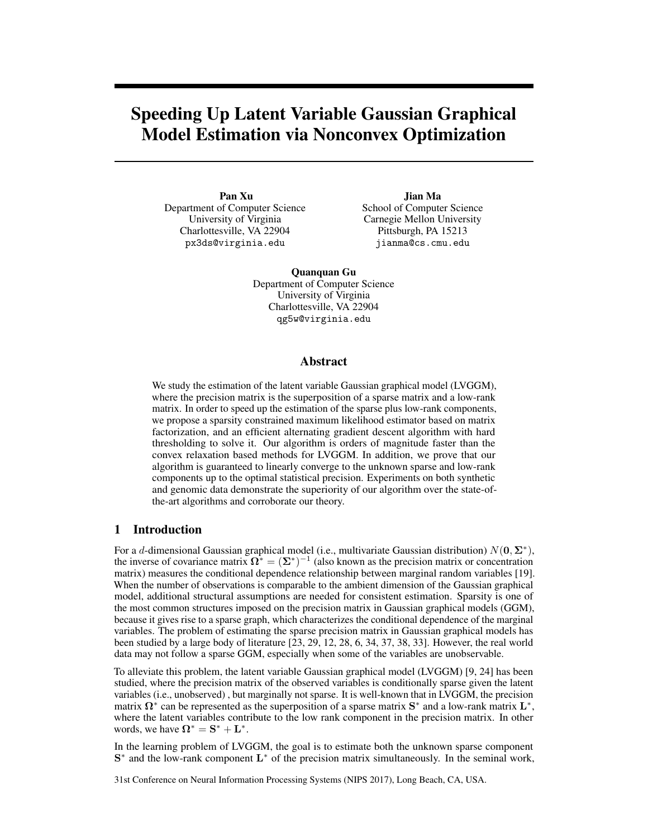# Speeding Up Latent Variable Gaussian Graphical Model Estimation via Nonconvex Optimization

Pan Xu Department of Computer Science University of Virginia Charlottesville, VA 22904 px3ds@virginia.edu

Jian Ma School of Computer Science Carnegie Mellon University Pittsburgh, PA 15213 jianma@cs.cmu.edu

Quanquan Gu Department of Computer Science University of Virginia Charlottesville, VA 22904 qg5w@virginia.edu

# Abstract

We study the estimation of the latent variable Gaussian graphical model (LVGGM), where the precision matrix is the superposition of a sparse matrix and a low-rank matrix. In order to speed up the estimation of the sparse plus low-rank components, we propose a sparsity constrained maximum likelihood estimator based on matrix factorization, and an efficient alternating gradient descent algorithm with hard thresholding to solve it. Our algorithm is orders of magnitude faster than the convex relaxation based methods for LVGGM. In addition, we prove that our algorithm is guaranteed to linearly converge to the unknown sparse and low-rank components up to the optimal statistical precision. Experiments on both synthetic and genomic data demonstrate the superiority of our algorithm over the state-ofthe-art algorithms and corroborate our theory.

## 1 Introduction

For a *d*-dimensional Gaussian graphical model (i.e., multivariate Gaussian distribution)  $N(\mathbf{0}, \Sigma^*)$ , the inverse of covariance matrix  $\Omega^* = (\Sigma^*)^{-1}$  (also known as the precision matrix or concentration matrix) measures the conditional dependence relationship between marginal random variables [19]. When the number of observations is comparable to the ambient dimension of the Gaussian graphical model, additional structural assumptions are needed for consistent estimation. Sparsity is one of the most common structures imposed on the precision matrix in Gaussian graphical models (GGM), because it gives rise to a sparse graph, which characterizes the conditional dependence of the marginal variables. The problem of estimating the sparse precision matrix in Gaussian graphical models has been studied by a large body of literature [23, 29, 12, 28, 6, 34, 37, 38, 33]. However, the real world data may not follow a sparse GGM, especially when some of the variables are unobservable.

To alleviate this problem, the latent variable Gaussian graphical model (LVGGM) [9, 24] has been studied, where the precision matrix of the observed variables is conditionally sparse given the latent variables (i.e., unobserved) , but marginally not sparse. It is well-known that in LVGGM, the precision matrix  $\Omega^*$  can be represented as the superposition of a sparse matrix  $S^*$  and a low-rank matrix  $L^*$ , where the latent variables contribute to the low rank component in the precision matrix. In other words, we have  $\mathbf{\Omega}^* = \mathbf{S}^* + \mathbf{L}^*$ .

In the learning problem of LVGGM, the goal is to estimate both the unknown sparse component  $S^*$  and the low-rank component  $L^*$  of the precision matrix simultaneously. In the seminal work,

31st Conference on Neural Information Processing Systems (NIPS 2017), Long Beach, CA, USA.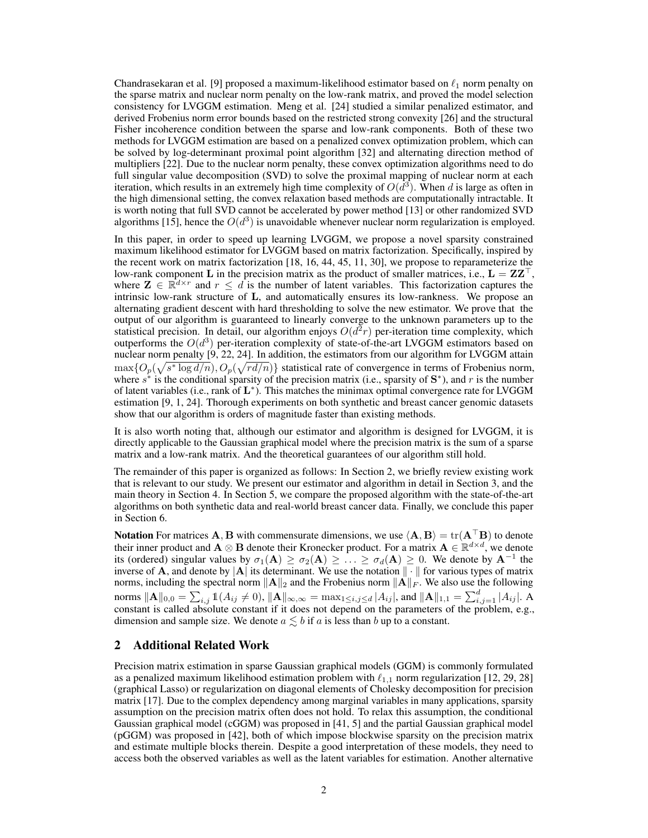Chandrasekaran et al. [9] proposed a maximum-likelihood estimator based on  $\ell_1$  norm penalty on the sparse matrix and nuclear norm penalty on the low-rank matrix, and proved the model selection consistency for LVGGM estimation. Meng et al. [24] studied a similar penalized estimator, and derived Frobenius norm error bounds based on the restricted strong convexity [26] and the structural Fisher incoherence condition between the sparse and low-rank components. Both of these two methods for LVGGM estimation are based on a penalized convex optimization problem, which can be solved by log-determinant proximal point algorithm [32] and alternating direction method of multipliers [22]. Due to the nuclear norm penalty, these convex optimization algorithms need to do full singular value decomposition (SVD) to solve the proximal mapping of nuclear norm at each iteration, which results in an extremely high time complexity of  $O(d^3)$ . When *d* is large as often in the high dimensional setting, the convex relaxation based methods are computationally intractable. It is worth noting that full SVD cannot be accelerated by power method [13] or other randomized SVD algorithms [15], hence the  $O(d^3)$  is unavoidable whenever nuclear norm regularization is employed.

In this paper, in order to speed up learning LVGGM, we propose a novel sparsity constrained maximum likelihood estimator for LVGGM based on matrix factorization. Specifically, inspired by the recent work on matrix factorization [18, 16, 44, 45, 11, 30], we propose to reparameterize the low-rank component L in the precision matrix as the product of smaller matrices, i.e.,  $L = ZZ^{\top}$ , where  $\mathbf{Z} \in \mathbb{R}^{d \times r}$  and  $r \leq d$  is the number of latent variables. This factorization captures the intrinsic low-rank structure of L, and automatically ensures its low-rankness. We propose an alternating gradient descent with hard thresholding to solve the new estimator. We prove that the output of our algorithm is guaranteed to linearly converge to the unknown parameters up to the statistical precision. In detail, our algorithm enjoys  $O(d^2r)$  per-iteration time complexity, which outperforms the  $O(d^3)$  per-iteration complexity of state-of-the-art LVGGM estimators based on nuclear norm penalty [9, 22, 24]. In addition, the estimators from our algorithm for LVGGM attain  $\max\{O_p(\sqrt{s^* \log d/n}), O_p(\sqrt{rd/n})\}$  statistical rate of convergence in terms of Frobenius norm, where  $s^*$  is the conditional sparsity of the precision matrix (i.e., sparsity of  $S^*$ ), and r is the number of latent variables (i.e., rank of  $L^*$ ). This matches the minimax optimal convergence rate for LVGGM estimation [9, 1, 24]. Thorough experiments on both synthetic and breast cancer genomic datasets show that our algorithm is orders of magnitude faster than existing methods.

It is also worth noting that, although our estimator and algorithm is designed for LVGGM, it is directly applicable to the Gaussian graphical model where the precision matrix is the sum of a sparse matrix and a low-rank matrix. And the theoretical guarantees of our algorithm still hold.

The remainder of this paper is organized as follows: In Section 2, we briefly review existing work that is relevant to our study. We present our estimator and algorithm in detail in Section 3, and the main theory in Section 4. In Section 5, we compare the proposed algorithm with the state-of-the-art algorithms on both synthetic data and real-world breast cancer data. Finally, we conclude this paper in Section 6.

Notation For matrices A, B with commensurate dimensions, we use  $\langle A, B \rangle = \text{tr}(A^T B)$  to denote their inner product and  $\mathbf{A} \otimes \mathbf{B}$  denote their Kronecker product. For a matrix  $\mathbf{A} \in \mathbb{R}^{d \times d}$ , we denote its (ordered) singular values by  $\sigma_1(A) \geq \sigma_2(A) \geq \ldots \geq \sigma_d(A) \geq 0$ . We denote by A<sup>-1</sup> the inverse of **A**, and denote by  $|A|$  its determinant. We use the notation  $\|\cdot\|$  for various types of matrix norms, including the spectral norm  $\|\mathbf{A}\|_2$  and the Frobenius norm  $\|\mathbf{A}\|_F$ . We also use the following  $\max_{1 \leq i,j \leq d} \|A\|_{0,0} = \sum_{i,j} 1\!\mathbb{1}(A_{ij} \neq 0), \|A\|_{\infty,\infty} = \max_{1 \leq i,j \leq d} |A_{ij}|,$  and  $\|A\|_{1,1} = \sum_{i,j=1}^d |A_{ij}|.$  A constant is called absolute constant if it does not depend on the parameters of the problem, e.g., dimension and sample size. We denote  $a \leq b$  if a is less than b up to a constant.

# 2 Additional Related Work

Precision matrix estimation in sparse Gaussian graphical models (GGM) is commonly formulated as a penalized maximum likelihood estimation problem with  $\ell_{1,1}$  norm regularization [12, 29, 28] (graphical Lasso) or regularization on diagonal elements of Cholesky decomposition for precision matrix [17]. Due to the complex dependency among marginal variables in many applications, sparsity assumption on the precision matrix often does not hold. To relax this assumption, the conditional Gaussian graphical model (cGGM) was proposed in [41, 5] and the partial Gaussian graphical model (pGGM) was proposed in [42], both of which impose blockwise sparsity on the precision matrix and estimate multiple blocks therein. Despite a good interpretation of these models, they need to access both the observed variables as well as the latent variables for estimation. Another alternative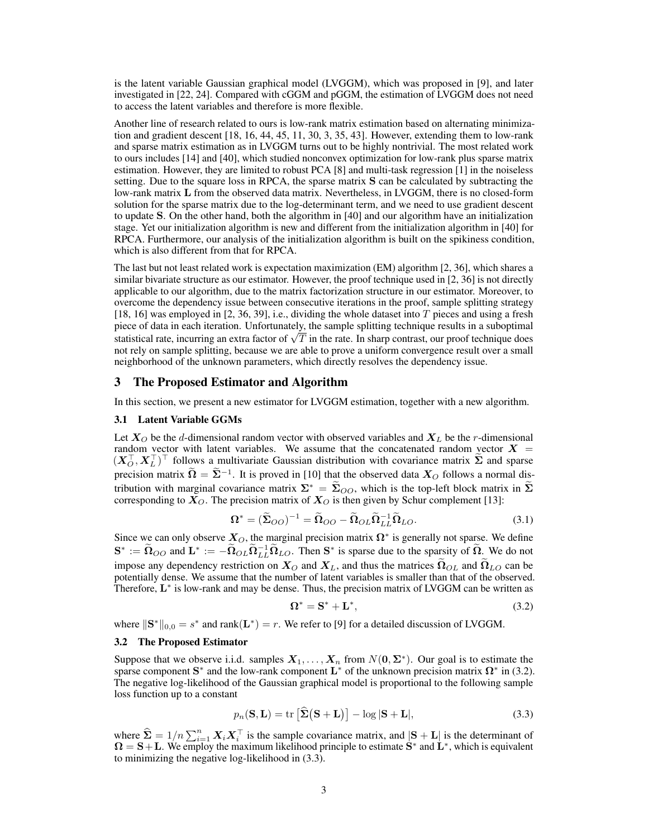is the latent variable Gaussian graphical model (LVGGM), which was proposed in [9], and later investigated in [22, 24]. Compared with cGGM and pGGM, the estimation of LVGGM does not need to access the latent variables and therefore is more flexible.

Another line of research related to ours is low-rank matrix estimation based on alternating minimization and gradient descent  $[18, 16, 44, 45, 11, 30, 3, 35, 43]$ . However, extending them to low-rank and sparse matrix estimation as in LVGGM turns out to be highly nontrivial. The most related work to ours includes [14] and [40], which studied nonconvex optimization for low-rank plus sparse matrix estimation. However, they are limited to robust PCA [8] and multi-task regression [1] in the noiseless setting. Due to the square loss in RPCA, the sparse matrix S can be calculated by subtracting the low-rank matrix L from the observed data matrix. Nevertheless, in LVGGM, there is no closed-form solution for the sparse matrix due to the log-determinant term, and we need to use gradient descent to update S. On the other hand, both the algorithm in [40] and our algorithm have an initialization stage. Yet our initialization algorithm is new and different from the initialization algorithm in [40] for RPCA. Furthermore, our analysis of the initialization algorithm is built on the spikiness condition, which is also different from that for RPCA.

The last but not least related work is expectation maximization (EM) algorithm [2, 36], which shares a similar bivariate structure as our estimator. However, the proof technique used in [2, 36] is not directly applicable to our algorithm, due to the matrix factorization structure in our estimator. Moreover, to overcome the dependency issue between consecutive iterations in the proof, sample splitting strategy [18, 16] was employed in [2, 36, 39], i.e., dividing the whole dataset into *T* pieces and using a fresh piece of data in each iteration. Unfortunately, the sample splitting technique results in a suboptimal statistical rate, incurring an extra factor of  $\sqrt{T}$  in the rate. In sharp contrast, our proof technique does not rely on sample splitting, because we are able to prove a uniform convergence result over a small neighborhood of the unknown parameters, which directly resolves the dependency issue.

#### 3 The Proposed Estimator and Algorithm

In this section, we present a new estimator for LVGGM estimation, together with a new algorithm.

#### 3.1 Latent Variable GGMs

Let  $X_O$  be the *d*-dimensional random vector with observed variables and  $X_L$  be the *r*-dimensional random vector with latent variables. We assume that the concatenated random vector  $X =$  $(X_O^+, X_L^+)$  follows a multivariate Gaussian distribution with covariance matrix  $\Sigma$  and sparse precision matrix  $\tilde{\Omega} = \tilde{\Sigma}^{-1}$ . It is proved in [10] that the observed data  $X_O$  follows a normal distribution with marginal covariance matrix  $\Sigma^* = \widetilde{\Sigma}_{OO}$ , which is the top-left block matrix in  $\widetilde{\Sigma}$ corresponding to  $X_O$ . The precision matrix of  $X_O$  is then given by Schur complement [13]:

$$
\Omega^* = (\tilde{\Sigma}_{OO})^{-1} = \tilde{\Omega}_{OO} - \tilde{\Omega}_{OL}\tilde{\Omega}_{LL}^{-1}\tilde{\Omega}_{LO}.
$$
 (3.1)

Since we can only observe  $X_O$ , the marginal precision matrix  $\Omega^*$  is generally not sparse. We define  $\mathbf{S}^* := \widetilde{\Omega}_{OO}$  and  $\mathbf{L}^* := -\widetilde{\Omega}_{OL}\widetilde{\Omega}_{LL}^{-1}\widetilde{\Omega}_{LO}$ . Then  $\mathbf{S}^*$  is sparse due to the sparsity of  $\widetilde{\Omega}$ . We do not impose any dependency restriction on  $X_O$  and  $X_L$ , and thus the matrices  $\Omega_{OL}$  and  $\Omega_{LO}$  can be potentially dense. We assume that the number of latent variables is smaller than that of the observed. Therefore,  $\mathbf{L}^*$  is low-rank and may be dense. Thus, the precision matrix of LVGGM can be written as

$$
\Omega^* = \mathbf{S}^* + \mathbf{L}^*,\tag{3.2}
$$

where  $\|\mathbf{S}^*\|_{0,0} = s^*$  and rank $(\mathbf{L}^*) = r$ . We refer to [9] for a detailed discussion of LVGGM.

#### 3.2 The Proposed Estimator

Suppose that we observe i.i.d. samples  $X_1, \ldots, X_n$  from  $N(0, \Sigma^*)$ . Our goal is to estimate the sparse component  $S^*$  and the low-rank component  $L^*$  of the unknown precision matrix  $\Omega^*$  in (3.2). The negative log-likelihood of the Gaussian graphical model is proportional to the following sample loss function up to a constant

$$
p_n(\mathbf{S}, \mathbf{L}) = \text{tr}\left[\hat{\mathbf{\Sigma}}(\mathbf{S} + \mathbf{L})\right] - \log|\mathbf{S} + \mathbf{L}|,\tag{3.3}
$$

where  $\hat{\Sigma} = 1/n \sum_{i=1}^{n} X_i X_i^{\top}$  is the sample covariance matrix, and  $|S + L|$  is the determinant of  $\Omega = S + L$ . We employ the maximum likelihood principle to estimate  $S^*$  and  $L^*$ , which is equivalent to minimizing the negative log-likelihood in (3.3).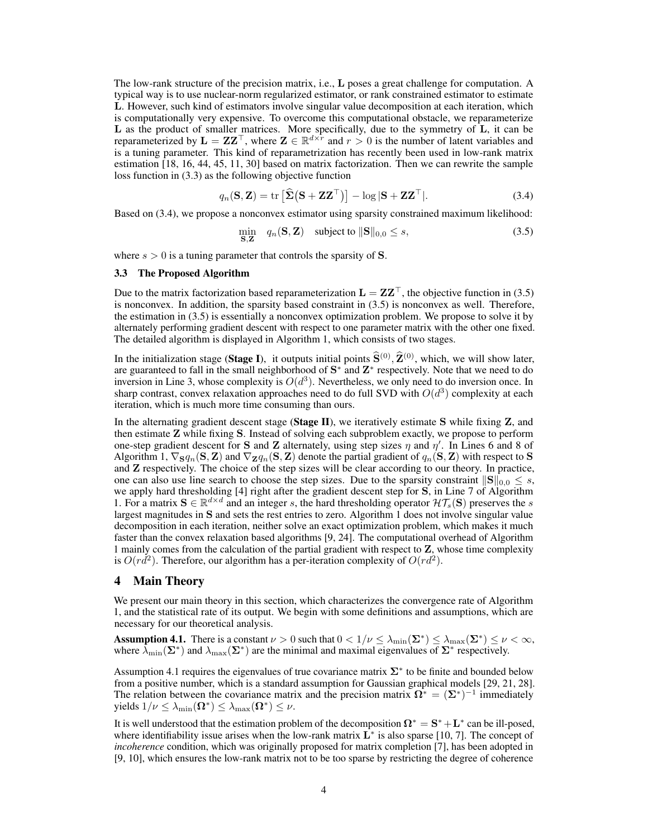The low-rank structure of the precision matrix, i.e., L poses a great challenge for computation. A typical way is to use nuclear-norm regularized estimator, or rank constrained estimator to estimate L. However, such kind of estimators involve singular value decomposition at each iteration, which is computationally very expensive. To overcome this computational obstacle, we reparameterize L as the product of smaller matrices. More specifically, due to the symmetry of L, it can be reparameterized by  $\mathbf{L} = \mathbf{Z} \mathbf{Z}^\top$ , where  $\mathbf{Z} \in \mathbb{R}^{d \times r}$  and  $r > 0$  is the number of latent variables and is a tuning parameter. This kind of reparametrization has recently been used in low-rank matrix estimation [18, 16, 44, 45, 11, 30] based on matrix factorization. Then we can rewrite the sample loss function in (3.3) as the following objective function

$$
q_n(\mathbf{S}, \mathbf{Z}) = \text{tr}\left[\hat{\boldsymbol{\Sigma}}\left(\mathbf{S} + \mathbf{Z}\mathbf{Z}^{\top}\right)\right] - \log|\mathbf{S} + \mathbf{Z}\mathbf{Z}^{\top}|. \tag{3.4}
$$

Based on (3.4), we propose a nonconvex estimator using sparsity constrained maximum likelihood:

$$
\min_{\mathbf{S},\mathbf{Z}} q_n(\mathbf{S},\mathbf{Z}) \quad \text{subject to } \|\mathbf{S}\|_{0,0} \le s,
$$
\n(3.5)

where  $s > 0$  is a tuning parameter that controls the sparsity of **S**.

#### 3.3 The Proposed Algorithm

Due to the matrix factorization based reparameterization  $\mathbf{L} = \mathbf{Z}\mathbf{Z}^{\top}$ , the objective function in (3.5) is nonconvex. In addition, the sparsity based constraint in (3.5) is nonconvex as well. Therefore, the estimation in (3.5) is essentially a nonconvex optimization problem. We propose to solve it by alternately performing gradient descent with respect to one parameter matrix with the other one fixed. The detailed algorithm is displayed in Algorithm 1, which consists of two stages.

In the initialization stage (Stage I), it outputs initial points  $\hat{S}^{(0)}$ ,  $\hat{Z}^{(0)}$ , which, we will show later, are guaranteed to fall in the small neighborhood of  $S^*$  and  $Z^*$  respectively. Note that we need to do inversion in Line 3, whose complexity is  $O(d^3)$ . Nevertheless, we only need to do inversion once. In sharp contrast, convex relaxation approaches need to do full SVD with  $O(d^3)$  complexity at each iteration, which is much more time consuming than ours.

In the alternating gradient descent stage (Stage II), we iteratively estimate S while fixing  $Z$ , and then estimate Z while fixing S. Instead of solving each subproblem exactly, we propose to perform one-step gradient descent for **S** and **Z** alternately, using step sizes  $\eta$  and  $\eta'$ . In Lines 6 and 8 of Algorithm 1,  $\nabla_S q_n(\mathbf{S}, \mathbf{Z})$  and  $\nabla_Z q_n(\mathbf{S}, \mathbf{Z})$  denote the partial gradient of  $q_n(\mathbf{S}, \mathbf{Z})$  with respect to S and Z respectively. The choice of the step sizes will be clear according to our theory. In practice, one can also use line search to choose the step sizes. Due to the sparsity constraint  $||\mathbf{S}||_{0,0} \leq s$ , we apply hard thresholding [4] right after the gradient descent step for S, in Line 7 of Algorithm 1. For a matrix  $S \in \mathbb{R}^{d \times d}$  and an integer *s*, the hard thresholding operator  $\mathcal{H}T_s(S)$  preserves the *s* largest magnitudes in S and sets the rest entries to zero. Algorithm 1 does not involve singular value decomposition in each iteration, neither solve an exact optimization problem, which makes it much faster than the convex relaxation based algorithms [9, 24]. The computational overhead of Algorithm 1 mainly comes from the calculation of the partial gradient with respect to Z, whose time complexity is  $O(r d^2)$ . Therefore, our algorithm has a per-iteration complexity of  $O(r d^2)$ .

## 4 Main Theory

We present our main theory in this section, which characterizes the convergence rate of Algorithm 1, and the statistical rate of its output. We begin with some definitions and assumptions, which are necessary for our theoretical analysis.

**Assumption 4.1.** There is a constant  $\nu > 0$  such that  $0 < 1/\nu \leq \lambda_{\min}(\Sigma^*) \leq \lambda_{\max}(\Sigma^*) \leq \nu < \infty$ , where  $\lambda_{\min}(\Sigma^*)$  and  $\lambda_{\max}(\Sigma^*)$  are the minimal and maximal eigenvalues of  $\Sigma^*$  respectively.

Assumption 4.1 requires the eigenvalues of true covariance matrix  $\Sigma^*$  to be finite and bounded below from a positive number, which is a standard assumption for Gaussian graphical models [29, 21, 28]. The relation between the covariance matrix and the precision matrix  $\Omega^* = (\Sigma^*)^{-1}$  immediately yields  $1/\nu \leq \lambda_{\min}(\mathbf{\Omega}^*) \leq \lambda_{\max}(\mathbf{\Omega}^*) \leq \nu$ .

It is well understood that the estimation problem of the decomposition  $\Omega^* = S^* + L^*$  can be ill-posed, where identifiability issue arises when the low-rank matrix  $L^*$  is also sparse [10, 7]. The concept of *incoherence* condition, which was originally proposed for matrix completion [7], has been adopted in [9, 10], which ensures the low-rank matrix not to be too sparse by restricting the degree of coherence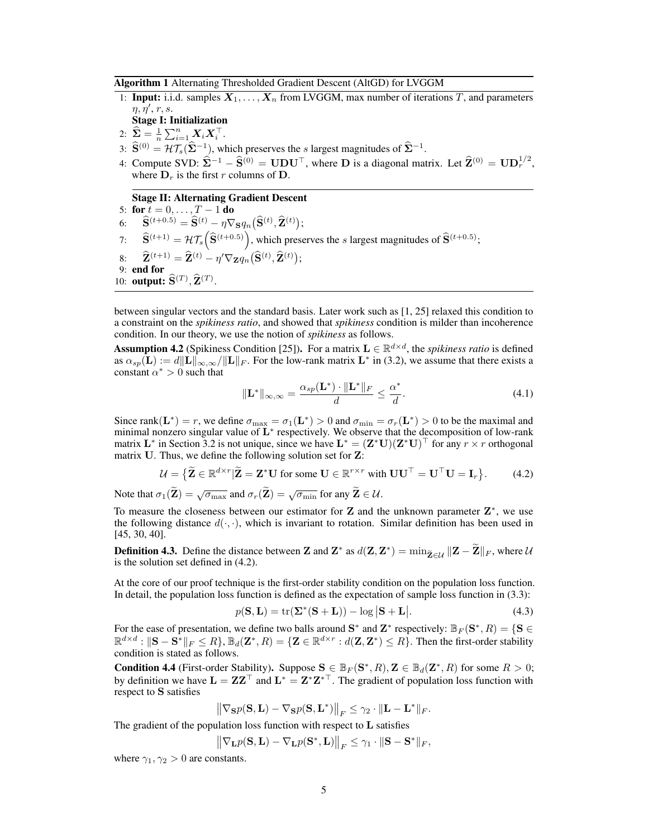Algorithm 1 Alternating Thresholded Gradient Descent (AltGD) for LVGGM

- 1: **Input:** i.i.d. samples  $X_1, \ldots, X_n$  from LVGGM, max number of iterations *T*, and parameters  $\eta, \eta', r, s.$ 
	- Stage I: Initialization
- $2: \ \ \hat{\mathbf{\Sigma}} = \frac{1}{n}\sum_{i=1}^n \mathbf{X}_i \mathbf{X}_i^{\top}.$
- 3:  $\hat{\mathbf{S}}^{(0)} = \mathcal{H} \mathcal{T}_s(\hat{\Sigma}^{-1})$ , which preserves the *s* largest magnitudes of  $\hat{\Sigma}^{-1}$ .
- 4: Compute SVD:  $\hat{\Sigma}^{-1} \hat{\mathbf{S}}^{(0)} = \mathbf{U} \mathbf{D} \mathbf{U}^{\top}$ , where **D** is a diagonal matrix. Let  $\hat{\mathbf{Z}}^{(0)} = \mathbf{U} \mathbf{D}_r^{1/2}$ , where  $D_r$  is the first *r* columns of D.

#### Stage II: Alternating Gradient Descent

5: **for**  $t = 0, ..., T - 1$  **do**<br>6:  $\widehat{S}^{(t+0.5)} = \widehat{S}^{(t)} - n\nabla$  $\widehat{\mathbf{S}}^{(t+0.5)} = \widehat{\mathbf{S}}^{(t)} - \eta \nabla_{\mathbf{S}} q_n \big( \widehat{\mathbf{S}}^{(t)}, \widehat{\mathbf{Z}}^{(t)} \big);$ 7:  $\widehat{\mathbf{S}}^{(t+1)} = \mathcal{H} \mathcal{T}_s \left( \widehat{\mathbf{S}}^{(t+0.5)} \right)$ , which preserves the *s* largest magnitudes of  $\widehat{\mathbf{S}}^{(t+0.5)}$ ;  $\mathbf{\widehat{Z}}^{(t+1)} = \widehat{\mathbf{Z}}^{(t)} - \eta' \nabla_{\mathbf{Z}} q_n \big( \widehat{\mathbf{S}}^{(t)}, \widehat{\mathbf{Z}}^{(t)} \big);$ 9: end for 10: **output:**  $\widehat{\mathbf{S}}^{(T)}$ ,  $\widehat{\mathbf{Z}}^{(T)}$ .

between singular vectors and the standard basis. Later work such as [1, 25] relaxed this condition to a constraint on the *spikiness ratio*, and showed that *spikiness* condition is milder than incoherence condition. In our theory, we use the notion of *spikiness* as follows.

Assumption 4.2 (Spikiness Condition [25]). For a matrix  $L \in \mathbb{R}^{d \times d}$ , the *spikiness ratio* is defined as  $\alpha_{sp}(\mathbf{L}) := d \|\mathbf{L}\|_{\infty,\infty} / \|\mathbf{L}\|_F$ . For the low-rank matrix  $\mathbf{L}^*$  in (3.2), we assume that there exists a constant  $\alpha^* > 0$  such that

$$
\|\mathbf{L}^*\|_{\infty,\infty} = \frac{\alpha_{sp}(\mathbf{L}^*) \cdot \|\mathbf{L}^*\|_F}{d} \le \frac{\alpha^*}{d}.\tag{4.1}
$$

Since rank( $\mathbf{L}^*$ ) = *r*, we define  $\sigma_{\text{max}} = \sigma_1(\mathbf{L}^*) > 0$  and  $\sigma_{\text{min}} = \sigma_r(\mathbf{L}^*) > 0$  to be the maximal and minimal nonzero singular value of  $L^*$  respectively. We observe that the decomposition of low-rank matrix  $\mathbf{L}^*$  in Section 3.2 is not unique, since we have  $\mathbf{L}^* = (\mathbf{Z}^* \mathbf{U})(\mathbf{Z}^* \mathbf{U})^\top$  for any  $r \times r$  orthogonal matrix U. Thus, we define the following solution set for Z:

$$
\mathcal{U} = \{ \widetilde{\mathbf{Z}} \in \mathbb{R}^{d \times r} | \widetilde{\mathbf{Z}} = \mathbf{Z}^* \mathbf{U} \text{ for some } \mathbf{U} \in \mathbb{R}^{r \times r} \text{ with } \mathbf{U} \mathbf{U}^\top = \mathbf{U}^\top \mathbf{U} = \mathbf{I}_r \}.
$$
 (4.2)

Note that  $\sigma_1(\widetilde{\mathbf{Z}}) = \sqrt{\sigma_{\max}}$  and  $\sigma_r(\widetilde{\mathbf{Z}}) = \sqrt{\sigma_{\min}}$  for any  $\widetilde{\mathbf{Z}} \in \mathcal{U}$ .

To measure the closeness between our estimator for  $Z$  and the unknown parameter  $Z^*$ , we use the following distance  $d(\cdot, \cdot)$ , which is invariant to rotation. Similar definition has been used in [45, 30, 40].

**Definition 4.3.** Define the distance between Z and Z<sup>\*</sup> as  $d(Z, Z^*) = \min_{\tilde{Z} \in \mathcal{U}} ||Z - \tilde{Z}||_F$ , where  $\mathcal{U}$ is the solution set defined in (4.2).

At the core of our proof technique is the first-order stability condition on the population loss function. In detail, the population loss function is defined as the expectation of sample loss function in (3.3):

$$
p(\mathbf{S}, \mathbf{L}) = \text{tr}(\mathbf{\Sigma}^*(\mathbf{S} + \mathbf{L})) - \log |\mathbf{S} + \mathbf{L}|.
$$
 (4.3)

For the ease of presentation, we define two balls around  $S^*$  and  $Z^*$  respectively:  $\mathbb{B}_F(S^*,R) = \{S \in \mathbb{B}_F\}$  $\mathbb{R}^{d \times d}$  :  $\|\mathbf{S} - \mathbf{S}^*\|_F \leq R$ ,  $\mathbb{B}_d(\mathbf{Z}^*, R) = \{\mathbf{Z} \in \mathbb{R}^{d \times r} : d(\mathbf{Z}, \mathbf{Z}^*) \leq R\}$ . Then the first-order stability condition is stated as follows.

**Condition 4.4** (First-order Stability). Suppose  $S \in \mathbb{B}_F(S^*, R), Z \in \mathbb{B}_d(Z^*, R)$  for some  $R > 0$ ; by definition we have  $\mathbf{L} = \mathbf{Z}\mathbf{Z}^\top$  and  $\mathbf{L}^* = \mathbf{Z}^* \mathbf{Z}^{*\top}$ . The gradient of population loss function with respect to S satisfies

$$
\left\| \nabla_{\mathbf{S}} p(\mathbf{S}, \mathbf{L}) - \nabla_{\mathbf{S}} p(\mathbf{S}, \mathbf{L}^*) \right\|_F \leq \gamma_2 \cdot \| \mathbf{L} - \mathbf{L}^* \|_F.
$$

The gradient of the population loss function with respect to  $L$  satisfies

$$
\left\| \nabla_{\mathbf{L}} p(\mathbf{S}, \mathbf{L}) - \nabla_{\mathbf{L}} p(\mathbf{S}^*, \mathbf{L}) \right\|_F \leq \gamma_1 \cdot \| \mathbf{S} - \mathbf{S}^* \|_F,
$$

where  $\gamma_1, \gamma_2 > 0$  are constants.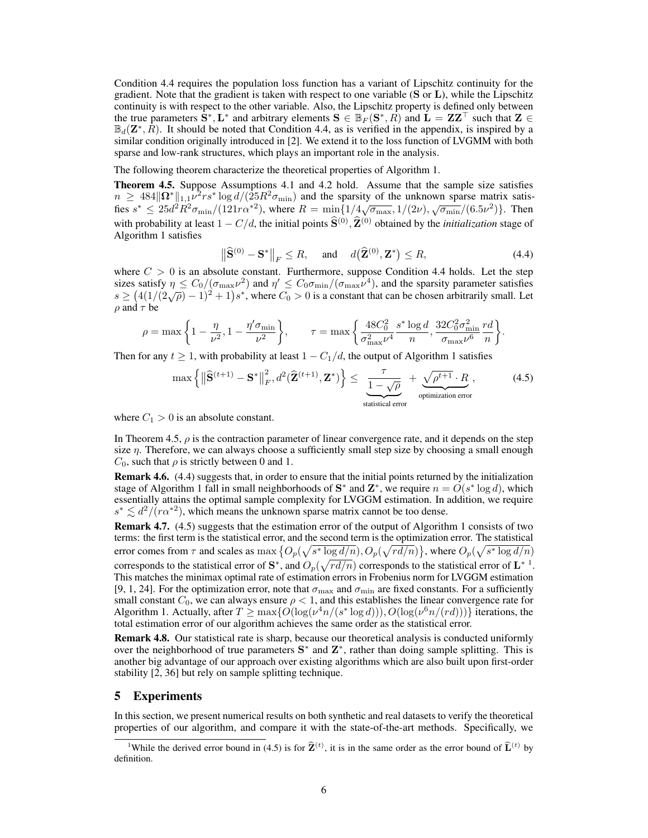Condition 4.4 requires the population loss function has a variant of Lipschitz continuity for the gradient. Note that the gradient is taken with respect to one variable  $(S \text{ or } L)$ , while the Lipschitz continuity is with respect to the other variable. Also, the Lipschitz property is defined only between the true parameters  $\mathbf{\bar{S}}^*, \mathbf{L}^*$  and arbitrary elements  $\mathbf{S} \in \mathbb{B}_F(\mathbf{S}^*, R)$  and  $\mathbf{L} = \mathbf{ZZ}^\top$  such that  $\mathbf{Z} \in \mathbb{B}$  $\mathbb{B}_d(\mathbb{Z}^*, R)$ . It should be noted that Condition 4.4, as is verified in the appendix, is inspired by a similar condition originally introduced in [2]. We extend it to the loss function of LVGMM with both sparse and low-rank structures, which plays an important role in the analysis.

The following theorem characterize the theoretical properties of Algorithm 1.

Theorem 4.5. Suppose Assumptions 4.1 and 4.2 hold. Assume that the sample size satisfies  $n \geq 484 \|\mathbf{\Omega}^* \|_{1,1} \nu^2 rs^* \log d/(25R^2 \sigma_{\min})$  and the sparsity of the unknown sparse matrix satis $f$ ies  $s^* \le 25d^2R^2\sigma_{\min}/(121r\alpha^{*2})$ , where  $R = \min\{1/4\sqrt{\sigma_{\max}}, 1/(2\nu), \sqrt{\sigma_{\min}}/(6.5\nu^2)\}\$ . Then with probability at least  $1 - C/d$ , the initial points  $\hat{S}^{(0)}$ ,  $\hat{Z}^{(0)}$  obtained by the *initialization* stage of Algorithm 1 satisfies

$$
\left\|\widehat{\mathbf{S}}^{(0)} - \mathbf{S}^*\right\|_F \le R, \quad \text{and} \quad d\left(\widehat{\mathbf{Z}}^{(0)}, \mathbf{Z}^*\right) \le R,\tag{4.4}
$$

where  $C > 0$  is an absolute constant. Furthermore, suppose Condition 4.4 holds. Let the step sizes satisfy  $\eta \leq C_0/(\sigma_{\max}\nu^2)$  and  $\eta' \leq C_0\sigma_{\min}/(\sigma_{\max}\nu^4)$ , and the sparsity parameter satisfies  $s \geq (4(1/(2\sqrt{\rho})-1)^2+1)s^*$ , where  $C_0 > 0$  is a constant that can be chosen arbitrarily small. Let  $\rho$  and  $\tau$  be

$$
\rho = \max\left\{1 - \frac{\eta}{\nu^2}, 1 - \frac{\eta'\sigma_{\min}}{\nu^2}\right\}, \qquad \tau = \max\left\{\frac{48C_0^2}{\sigma_{\max}^2 \nu^4} \frac{s^* \log d}{n}, \frac{32C_0^2 \sigma_{\min}^2}{\sigma_{\max} \nu^6} \frac{rd}{n}\right\}.
$$

Then for any  $t \geq 1$ , with probability at least  $1 - C_1/d$ , the output of Algorithm 1 satisfies

$$
\max\left\{\left\|\widehat{\mathbf{S}}^{(t+1)} - \mathbf{S}^*\right\|_F^2, d^2(\widehat{\mathbf{Z}}^{(t+1)}, \mathbf{Z}^*)\right\} \le \underbrace{\frac{\tau}{1 - \sqrt{\rho}}}_{\text{statistical error}} + \underbrace{\sqrt{\rho^{t+1}} \cdot R}_{\text{optimization error}},
$$
(4.5)

where  $C_1 > 0$  is an absolute constant.

In Theorem 4.5,  $\rho$  is the contraction parameter of linear convergence rate, and it depends on the step size  $\eta$ . Therefore, we can always choose a sufficiently small step size by choosing a small enough  $C_0$ , such that  $\rho$  is strictly between 0 and 1.

Remark 4.6. (4.4) suggests that, in order to ensure that the initial points returned by the initialization stage of Algorithm 1 fall in small neighborhoods of  $S^*$  and  $Z^*$ , we require  $n = O(s^* \log d)$ , which essentially attains the optimal sample complexity for LVGGM estimation. In addition, we require  $s^* \lesssim d^2/(r\alpha^{*2})$ , which means the unknown sparse matrix cannot be too dense.

Remark 4.7. (4.5) suggests that the estimation error of the output of Algorithm 1 consists of two terms: the first term is the statistical error, and the second term is the optimization error. The statistical error comes from  $\tau$  and scales as  $\max\{O_p(\sqrt{s^*\log d/n}), O_p(\sqrt{rd/n})\}$ , where  $O_p(\sqrt{s^*\log d/n})$ corresponds to the statistical error of  $S^*$ , and  $O_p(\sqrt{rd/n})$  corresponds to the statistical error of  $L^{*1}$ . This matches the minimax optimal rate of estimation errors in Frobenius norm for LVGGM estimation [9, 1, 24]. For the optimization error, note that  $\sigma_{\text{max}}$  and  $\sigma_{\text{min}}$  are fixed constants. For a sufficiently small constant  $C_0$ , we can always ensure  $\rho < 1$ , and this establishes the linear convergence rate for Algorithm 1. Actually, after  $T \ge \max\{O(\log(\nu^4 n/(s^* \log d)))$ ,  $O(\log(\nu^6 n/(rd)))\}$  iterations, the total estimation error of our algorithm achieves the same order as the statistical error.

Remark 4.8. Our statistical rate is sharp, because our theoretical analysis is conducted uniformly over the neighborhood of true parameters  $S^*$  and  $Z^*$ , rather than doing sample splitting. This is another big advantage of our approach over existing algorithms which are also built upon first-order stability [2, 36] but rely on sample splitting technique.

## 5 Experiments

In this section, we present numerical results on both synthetic and real datasets to verify the theoretical properties of our algorithm, and compare it with the state-of-the-art methods. Specifically, we

<sup>&</sup>lt;sup>1</sup>While the derived error bound in (4.5) is for  $\hat{\mathbf{Z}}^{(t)}$ , it is in the same order as the error bound of  $\hat{\mathbf{L}}^{(t)}$  by definition.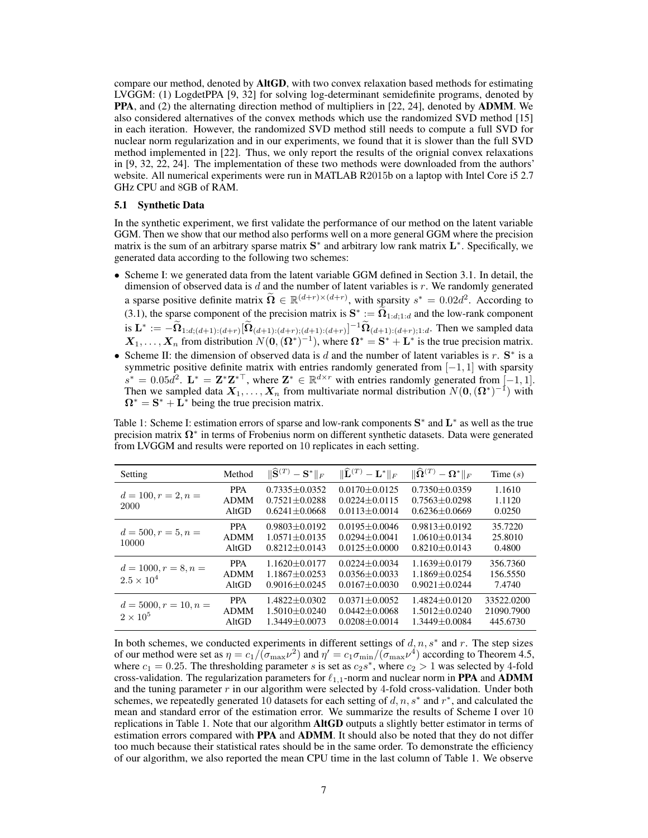compare our method, denoted by AltGD, with two convex relaxation based methods for estimating LVGGM: (1) LogdetPPA [9, 32] for solving log-determinant semidefinite programs, denoted by PPA, and (2) the alternating direction method of multipliers in [22, 24], denoted by **ADMM**. We also considered alternatives of the convex methods which use the randomized SVD method [15] in each iteration. However, the randomized SVD method still needs to compute a full SVD for nuclear norm regularization and in our experiments, we found that it is slower than the full SVD method implemented in [22]. Thus, we only report the results of the orignial convex relaxations in [9, 32, 22, 24]. The implementation of these two methods were downloaded from the authors' website. All numerical experiments were run in MATLAB R2015b on a laptop with Intel Core i5 2.7 GHz CPU and 8GB of RAM.

#### 5.1 Synthetic Data

In the synthetic experiment, we first validate the performance of our method on the latent variable GGM. Then we show that our method also performs well on a more general GGM where the precision matrix is the sum of an arbitrary sparse matrix  $S^*$  and arbitrary low rank matrix  $L^*$ . Specifically, we generated data according to the following two schemes:

- *•* Scheme I: we generated data from the latent variable GGM defined in Section 3.1. In detail, the dimension of observed data is *d* and the number of latent variables is *r*. We randomly generated a sparse positive definite matrix  $\Omega \in \mathbb{R}^{(d+r)\times(d+r)}$ , with sparsity  $s^* = 0.02d^2$ . According to (3.1), the sparse component of the precision matrix is  $S^* := \tilde{\Omega}_{1:d,1:d}$  and the low-rank component is  $\mathbf{L}^* := -\tilde{\mathbf{\Omega}}_{1:d,(d+1):(d+r)}[\tilde{\mathbf{\Omega}}_{(d+1):(d+r);(d+r)}]^{-1}\tilde{\mathbf{\Omega}}_{(d+1):(d+r);1:d}$ . Then we sampled data  $X_1, \ldots, X_n$  from distribution  $N(0, (\Omega^*)^{-1})$ , where  $\Omega^* = \mathbf{S}^* + \mathbf{L}^*$  is the true precision matrix.
- Scheme II: the dimension of observed data is *d* and the number of latent variables is *r*.  $S^*$  is a symmetric positive definite matrix with entries randomly generated from  $[-1, 1]$  with sparsity  $s^* = 0.05d^2$ .  $\mathbf{L}^* = \mathbf{Z}^* \mathbf{Z}^{*\top}$ , where  $\mathbf{Z}^* \in \mathbb{R}^{d \times r}$  with entries randomly generated from  $[-1, 1]$ . Then we sampled data  $X_1, \ldots, X_n$  from multivariate normal distribution  $N(\mathbf{0}, (\mathbf{\Omega}^*)^{-1})$  with  $\Omega^* = S^* + L^*$  being the true precision matrix.

Table 1: Scheme I: estimation errors of sparse and low-rank components  $S^*$  and  $L^*$  as well as the true precision matrix  $\Omega^*$  in terms of Frobenius norm on different synthetic datasets. Data were generated from LVGGM and results were reported on 10 replicates in each setting.

| Setting                                       | Method                             | $\ \widehat{\mathbf{S}}^{(T)} - \mathbf{S}^*\ _F$               | $\ \widehat{\mathbf{L}}^{(T)} - \mathbf{L}^*\ _F$               | $\ \widehat{\mathbf{\Omega}}^{(T)} - \mathbf{\Omega}^*\ _F$     | Time $(s)$                           |
|-----------------------------------------------|------------------------------------|-----------------------------------------------------------------|-----------------------------------------------------------------|-----------------------------------------------------------------|--------------------------------------|
| $d = 100, r = 2, n =$<br>2000                 | <b>PPA</b><br><b>ADMM</b><br>AltGD | $0.7335 \pm 0.0352$<br>$0.7521 \pm 0.0288$<br>$0.6241 + 0.0668$ | $0.0170 + 0.0125$<br>$0.0224 \pm 0.0115$<br>$0.0113 + 0.0014$   | $0.7350 \pm 0.0359$<br>$0.7563 \pm 0.0298$<br>$0.6236 + 0.0669$ | 1.1610<br>1.1120<br>0.0250           |
| $d = 500, r = 5, n =$<br>10000                | <b>PPA</b><br><b>ADMM</b><br>AltGD | $0.9803 + 0.0192$<br>$1.0571 + 0.0135$<br>$0.8212 + 0.0143$     | $0.0195 \pm 0.0046$<br>$0.0294 + 0.0041$<br>$0.0125 \pm 0.0000$ | $0.9813 \pm 0.0192$<br>$1.0610 + 0.0134$<br>$0.8210 + 0.0143$   | 35.7220<br>25.8010<br>0.4800         |
| $d = 1000, r = 8, n =$<br>$2.5 \times 10^{4}$ | <b>PPA</b><br><b>ADMM</b><br>AltGD | $1.1620 + 0.0177$<br>$1.1867 + 0.0253$<br>$0.9016 + 0.0245$     | $0.0224 \pm 0.0034$<br>$0.0356 + 0.0033$<br>$0.0167 \pm 0.0030$ | $1.1639 + 0.0179$<br>$1.1869 + 0.0254$<br>$0.9021 + 0.0244$     | 356.7360<br>156.5550<br>7.4740       |
| $d = 5000, r = 10, n =$<br>$2 \times 10^5$    | <b>PPA</b><br><b>ADMM</b><br>AltGD | $1.4822 + 0.0302$<br>$1.5010 + 0.0240$<br>$1.3449 + 0.0073$     | $0.0371 + 0.0052$<br>$0.0442 + 0.0068$<br>$0.0208 + 0.0014$     | $1.4824 + 0.0120$<br>$1.5012 + 0.0240$<br>$1.3449 \pm 0.0084$   | 33522.0200<br>21090.7900<br>445.6730 |

In both schemes, we conducted experiments in different settings of  $d, n, s^*$  and  $r$ . The step sizes of our method were set as  $\eta = c_1/(\sigma_{\text{max}}\nu^2)$  and  $\eta' = c_1\sigma_{\text{min}}/(\sigma_{\text{max}}\nu^4)$  according to Theorem 4.5, where  $c_1 = 0.25$ . The thresholding parameter *s* is set as  $c_2s^*$ , where  $c_2 > 1$  was selected by 4-fold cross-validation. The regularization parameters for  $\ell_{1,1}$ -norm and nuclear norm in **PPA** and **ADMM** and the tuning parameter *r* in our algorithm were selected by 4-fold cross-validation. Under both schemes, we repeatedly generated 10 datasets for each setting of  $d, n, s^*$  and  $r^*$ , and calculated the mean and standard error of the estimation error. We summarize the results of Scheme I over 10 replications in Table 1. Note that our algorithm **AltGD** outputs a slightly better estimator in terms of estimation errors compared with **PPA** and **ADMM**. It should also be noted that they do not differ too much because their statistical rates should be in the same order. To demonstrate the efficiency of our algorithm, we also reported the mean CPU time in the last column of Table 1. We observe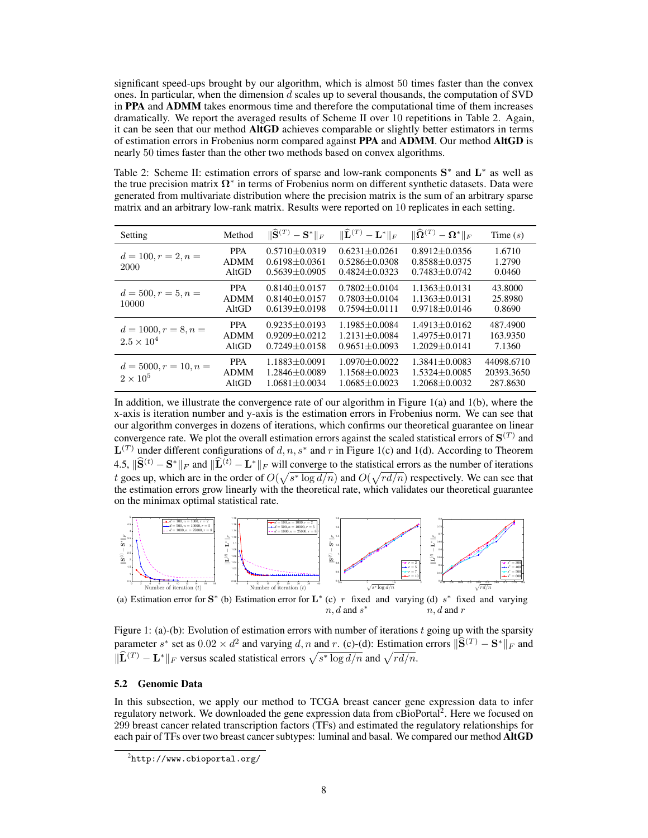significant speed-ups brought by our algorithm, which is almost 50 times faster than the convex ones. In particular, when the dimension *d* scales up to several thousands, the computation of SVD in PPA and ADMM takes enormous time and therefore the computational time of them increases dramatically. We report the averaged results of Scheme II over 10 repetitions in Table 2. Again, it can be seen that our method AltGD achieves comparable or slightly better estimators in terms of estimation errors in Frobenius norm compared against PPA and ADMM. Our method AltGD is nearly 50 times faster than the other two methods based on convex algorithms.

Table 2: Scheme II: estimation errors of sparse and low-rank components  $S^*$  and  $L^*$  as well as the true precision matrix  $\Omega^*$  in terms of Frobenius norm on different synthetic datasets. Data were generated from multivariate distribution where the precision matrix is the sum of an arbitrary sparse matrix and an arbitrary low-rank matrix. Results were reported on 10 replicates in each setting.

| Setting                                       | Method                             | $\ \widehat{\mathbf{S}}^{(T)} - \mathbf{S}^*\ _F$               | $\ \widehat{\mathbf{L}}^{(T)} - \mathbf{L}^*\ _F$           | $\ \widehat{\mathbf{\Omega}}^{(T)} - \mathbf{\Omega}^*\ _F$     | Time $(s)$                           |
|-----------------------------------------------|------------------------------------|-----------------------------------------------------------------|-------------------------------------------------------------|-----------------------------------------------------------------|--------------------------------------|
| $d = 100, r = 2, n =$<br>2000                 | <b>PPA</b><br><b>ADMM</b><br>AltGD | $0.5710 \pm 0.0319$<br>$0.6198 \pm 0.0361$<br>$0.5639 + 0.0905$ | $0.6231 + 0.0261$<br>$0.5286 + 0.0308$<br>$0.4824 + 0.0323$ | $0.8912 \pm 0.0356$<br>$0.8588 \pm 0.0375$<br>$0.7483 + 0.0742$ | 1.6710<br>1.2790<br>0.0460           |
| $d = 500, r = 5, n =$<br>10000                | <b>PPA</b><br><b>ADMM</b><br>AltGD | $0.8140 + 0.0157$<br>$0.8140 + 0.0157$<br>$0.6139 + 0.0198$     | $0.7802 + 0.0104$<br>$0.7803 + 0.0104$<br>$0.7594 + 0.0111$ | $1.1363 \pm 0.0131$<br>$1.1363 + 0.0131$<br>$0.9718 + 0.0146$   | 43.8000<br>25.8980<br>0.8690         |
| $d = 1000, r = 8, n =$<br>$2.5 \times 10^{4}$ | <b>PPA</b><br><b>ADMM</b><br>AltGD | $0.9235 + 0.0193$<br>$0.9209 + 0.0212$<br>$0.7249 + 0.0158$     | $1.1985 + 0.0084$<br>$1.2131 + 0.0084$<br>$0.9651 + 0.0093$ | $1.4913 + 0.0162$<br>$1.4975 + 0.0171$<br>$1.2029 + 0.0141$     | 487.4900<br>163.9350<br>7.1360       |
| $d = 5000, r = 10, n =$<br>$2 \times 10^5$    | <b>PPA</b><br><b>ADMM</b><br>AltGD | $1.1883 + 0.0091$<br>$1.2846 + 0.0089$<br>$1.0681 + 0.0034$     | $1.0970 + 0.0022$<br>$1.1568 + 0.0023$<br>$1.0685 + 0.0023$ | $1.3841 + 0.0083$<br>$1.5324 + 0.0085$<br>$1.2068 + 0.0032$     | 44098.6710<br>20393.3650<br>287.8630 |

In addition, we illustrate the convergence rate of our algorithm in Figure 1(a) and 1(b), where the x-axis is iteration number and y-axis is the estimation errors in Frobenius norm. We can see that our algorithm converges in dozens of iterations, which confirms our theoretical guarantee on linear convergence rate. We plot the overall estimation errors against the scaled statistical errors of  $S^{(T)}$  and  $\mathbf{L}^{(T)}$  under different configurations of *d, n, s*<sup>\*</sup> and *r* in Figure 1(c) and 1(d). According to Theorem 4.5,  $\|\widehat{S}^{(t)} - S^*\|_F$  and  $\|\widehat{L}^{(t)} - L^*\|_F$  will converge to the statistical errors as the number of iterations *t* goes up, which are in the order of  $O(\sqrt{s^* \log d/n})$  and  $O(\sqrt{rd/n})$  respectively. We can see that the estimation errors grow linearly with the theoretical rate, which validates our theoretical guarantee on the minimax optimal statistical rate.



(a) Estimation error for  $S^*$  (b) Estimation error for  $L^*$  (c) *r* fixed and varying (d) *s*<sup>\*</sup> fixed and varying  $n, d$  and  $s^*$ *n, d* and *r*

Figure 1: (a)-(b): Evolution of estimation errors with number of iterations *t* going up with the sparsity parameter *s*<sup>\*</sup> set as  $0.02 \times d^2$  and varying *d, n* and *r*. (c)-(d): Estimation errors  $\|\hat{\mathbf{S}}^{(T)} - \mathbf{S}^*\|_F$  and  $\|\widehat{\mathbf{L}}^{(T)} - \mathbf{L}^*\|_F$  versus scaled statistical errors  $\sqrt{s^* \log d/n}$  and  $\sqrt{rd/n}$ .

#### 5.2 Genomic Data

In this subsection, we apply our method to TCGA breast cancer gene expression data to infer regulatory network. We downloaded the gene expression data from cBioPortal<sup>2</sup>. Here we focused on 299 breast cancer related transcription factors (TFs) and estimated the regulatory relationships for each pair of TFs over two breast cancer subtypes: luminal and basal. We compared our method **AltGD** 

 $^{2}$ http://www.cbioportal.org/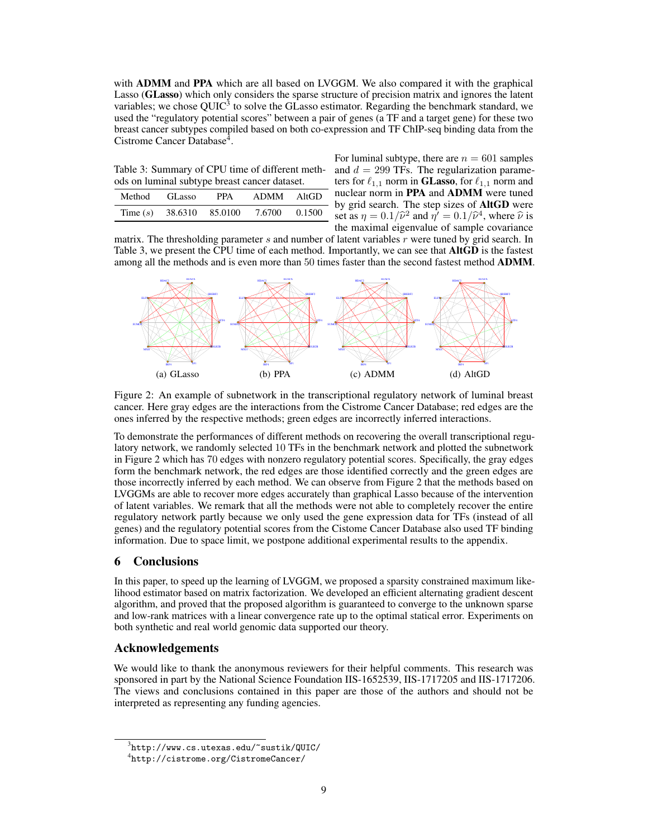with **ADMM** and **PPA** which are all based on LVGGM. We also compared it with the graphical Lasso (GLasso) which only considers the sparse structure of precision matrix and ignores the latent variables; we chose  $QUIC<sup>3</sup>$  to solve the GLasso estimator. Regarding the benchmark standard, we used the "regulatory potential scores" between a pair of genes (a TF and a target gene) for these two breast cancer subtypes compiled based on both co-expression and TF ChIP-seq binding data from the Cistrome Cancer Database<sup>4</sup>.

Table 3: Summary of CPU time of different methods on luminal subtype breast cancer dataset.

| Method | GL asso                    | <b>PPA</b> | ADMM   | AltGD  |
|--------|----------------------------|------------|--------|--------|
|        | Time $(s)$ 38.6310 85.0100 |            | 7.6700 | 0.1500 |
|        |                            |            |        |        |

For luminal subtype, there are  $n = 601$  samples and  $d = 299$  TFs. The regularization parameters for  $\ell_{1,1}$  norm in **GLasso**, for  $\ell_{1,1}$  norm and nuclear norm in PPA and ADMM were tuned - by grid search. The step sizes of AltGD were set as  $\eta = 0.1/\hat{\nu}^2$  and  $\hat{\eta'} = 0.1/\hat{\nu}^4$ , where  $\hat{\nu}$  is the maximal eigenvalue of sample covariance

matrix. The thresholding parameter *s* and number of latent variables *r* were tuned by grid search. In Table 3, we present the CPU time of each method. Importantly, we can see that **AltGD** is the fastest among all the methods and is even more than 50 times faster than the second fastest method **ADMM**.



Figure 2: An example of subnetwork in the transcriptional regulatory network of luminal breast cancer. Here gray edges are the interactions from the Cistrome Cancer Database; red edges are the ones inferred by the respective methods; green edges are incorrectly inferred interactions.

To demonstrate the performances of different methods on recovering the overall transcriptional regulatory network, we randomly selected 10 TFs in the benchmark network and plotted the subnetwork in Figure 2 which has 70 edges with nonzero regulatory potential scores. Specifically, the gray edges form the benchmark network, the red edges are those identified correctly and the green edges are those incorrectly inferred by each method. We can observe from Figure 2 that the methods based on LVGGMs are able to recover more edges accurately than graphical Lasso because of the intervention of latent variables. We remark that all the methods were not able to completely recover the entire regulatory network partly because we only used the gene expression data for TFs (instead of all genes) and the regulatory potential scores from the Cistome Cancer Database also used TF binding information. Due to space limit, we postpone additional experimental results to the appendix.

## 6 Conclusions

In this paper, to speed up the learning of LVGGM, we proposed a sparsity constrained maximum likelihood estimator based on matrix factorization. We developed an efficient alternating gradient descent algorithm, and proved that the proposed algorithm is guaranteed to converge to the unknown sparse and low-rank matrices with a linear convergence rate up to the optimal statical error. Experiments on both synthetic and real world genomic data supported our theory.

# Acknowledgements

We would like to thank the anonymous reviewers for their helpful comments. This research was sponsored in part by the National Science Foundation IIS-1652539, IIS-1717205 and IIS-1717206. The views and conclusions contained in this paper are those of the authors and should not be interpreted as representing any funding agencies.

 $^3$ http://www.cs.utexas.edu/~sustik/QUIC/

<sup>4</sup> http://cistrome.org/CistromeCancer/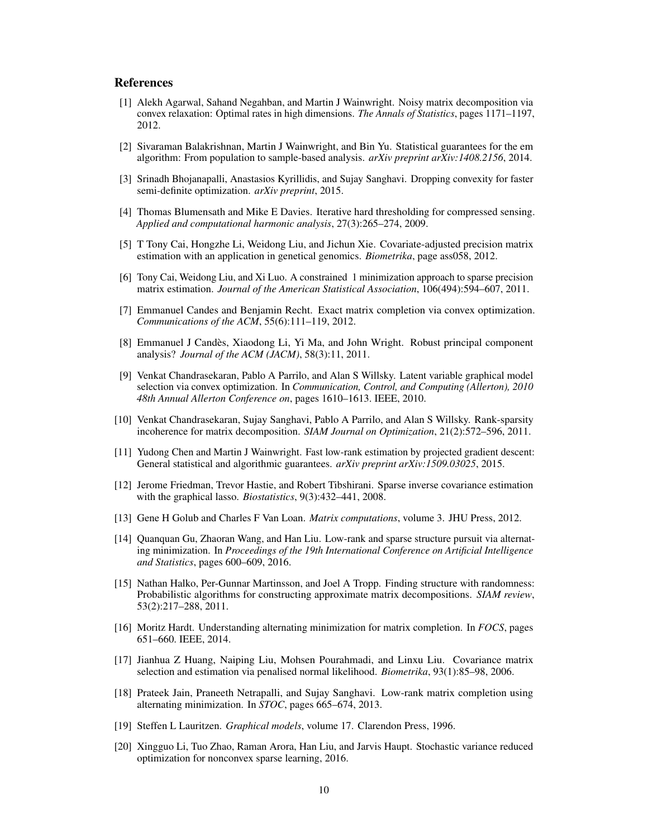## References

- [1] Alekh Agarwal, Sahand Negahban, and Martin J Wainwright. Noisy matrix decomposition via convex relaxation: Optimal rates in high dimensions. *The Annals of Statistics*, pages 1171–1197, 2012.
- [2] Sivaraman Balakrishnan, Martin J Wainwright, and Bin Yu. Statistical guarantees for the em algorithm: From population to sample-based analysis. *arXiv preprint arXiv:1408.2156*, 2014.
- [3] Srinadh Bhojanapalli, Anastasios Kyrillidis, and Sujay Sanghavi. Dropping convexity for faster semi-definite optimization. *arXiv preprint*, 2015.
- [4] Thomas Blumensath and Mike E Davies. Iterative hard thresholding for compressed sensing. *Applied and computational harmonic analysis*, 27(3):265–274, 2009.
- [5] T Tony Cai, Hongzhe Li, Weidong Liu, and Jichun Xie. Covariate-adjusted precision matrix estimation with an application in genetical genomics. *Biometrika*, page ass058, 2012.
- [6] Tony Cai, Weidong Liu, and Xi Luo. A constrained 1 minimization approach to sparse precision matrix estimation. *Journal of the American Statistical Association*, 106(494):594–607, 2011.
- [7] Emmanuel Candes and Benjamin Recht. Exact matrix completion via convex optimization. *Communications of the ACM*, 55(6):111–119, 2012.
- [8] Emmanuel J Candès, Xiaodong Li, Yi Ma, and John Wright. Robust principal component analysis? *Journal of the ACM (JACM)*, 58(3):11, 2011.
- [9] Venkat Chandrasekaran, Pablo A Parrilo, and Alan S Willsky. Latent variable graphical model selection via convex optimization. In *Communication, Control, and Computing (Allerton), 2010 48th Annual Allerton Conference on*, pages 1610–1613. IEEE, 2010.
- [10] Venkat Chandrasekaran, Sujay Sanghavi, Pablo A Parrilo, and Alan S Willsky. Rank-sparsity incoherence for matrix decomposition. *SIAM Journal on Optimization*, 21(2):572–596, 2011.
- [11] Yudong Chen and Martin J Wainwright. Fast low-rank estimation by projected gradient descent: General statistical and algorithmic guarantees. *arXiv preprint arXiv:1509.03025*, 2015.
- [12] Jerome Friedman, Trevor Hastie, and Robert Tibshirani. Sparse inverse covariance estimation with the graphical lasso. *Biostatistics*, 9(3):432–441, 2008.
- [13] Gene H Golub and Charles F Van Loan. *Matrix computations*, volume 3. JHU Press, 2012.
- [14] Quanquan Gu, Zhaoran Wang, and Han Liu. Low-rank and sparse structure pursuit via alternating minimization. In *Proceedings of the 19th International Conference on Artificial Intelligence and Statistics*, pages 600–609, 2016.
- [15] Nathan Halko, Per-Gunnar Martinsson, and Joel A Tropp. Finding structure with randomness: Probabilistic algorithms for constructing approximate matrix decompositions. *SIAM review*, 53(2):217–288, 2011.
- [16] Moritz Hardt. Understanding alternating minimization for matrix completion. In *FOCS*, pages 651–660. IEEE, 2014.
- [17] Jianhua Z Huang, Naiping Liu, Mohsen Pourahmadi, and Linxu Liu. Covariance matrix selection and estimation via penalised normal likelihood. *Biometrika*, 93(1):85–98, 2006.
- [18] Prateek Jain, Praneeth Netrapalli, and Sujay Sanghavi. Low-rank matrix completion using alternating minimization. In *STOC*, pages 665–674, 2013.
- [19] Steffen L Lauritzen. *Graphical models*, volume 17. Clarendon Press, 1996.
- [20] Xingguo Li, Tuo Zhao, Raman Arora, Han Liu, and Jarvis Haupt. Stochastic variance reduced optimization for nonconvex sparse learning, 2016.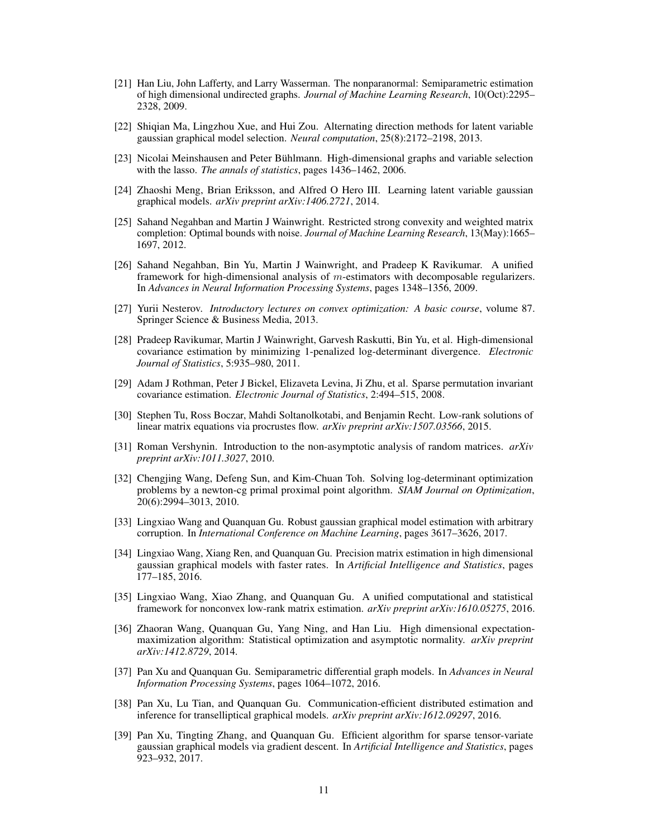- [21] Han Liu, John Lafferty, and Larry Wasserman. The nonparanormal: Semiparametric estimation of high dimensional undirected graphs. *Journal of Machine Learning Research*, 10(Oct):2295– 2328, 2009.
- [22] Shiqian Ma, Lingzhou Xue, and Hui Zou. Alternating direction methods for latent variable gaussian graphical model selection. *Neural computation*, 25(8):2172–2198, 2013.
- [23] Nicolai Meinshausen and Peter Bühlmann. High-dimensional graphs and variable selection with the lasso. *The annals of statistics*, pages 1436–1462, 2006.
- [24] Zhaoshi Meng, Brian Eriksson, and Alfred O Hero III. Learning latent variable gaussian graphical models. *arXiv preprint arXiv:1406.2721*, 2014.
- [25] Sahand Negahban and Martin J Wainwright. Restricted strong convexity and weighted matrix completion: Optimal bounds with noise. *Journal of Machine Learning Research*, 13(May):1665– 1697, 2012.
- [26] Sahand Negahban, Bin Yu, Martin J Wainwright, and Pradeep K Ravikumar. A unified framework for high-dimensional analysis of *m*-estimators with decomposable regularizers. In *Advances in Neural Information Processing Systems*, pages 1348–1356, 2009.
- [27] Yurii Nesterov. *Introductory lectures on convex optimization: A basic course*, volume 87. Springer Science & Business Media, 2013.
- [28] Pradeep Ravikumar, Martin J Wainwright, Garvesh Raskutti, Bin Yu, et al. High-dimensional covariance estimation by minimizing 1-penalized log-determinant divergence. *Electronic Journal of Statistics*, 5:935–980, 2011.
- [29] Adam J Rothman, Peter J Bickel, Elizaveta Levina, Ji Zhu, et al. Sparse permutation invariant covariance estimation. *Electronic Journal of Statistics*, 2:494–515, 2008.
- [30] Stephen Tu, Ross Boczar, Mahdi Soltanolkotabi, and Benjamin Recht. Low-rank solutions of linear matrix equations via procrustes flow. *arXiv preprint arXiv:1507.03566*, 2015.
- [31] Roman Vershynin. Introduction to the non-asymptotic analysis of random matrices. *arXiv preprint arXiv:1011.3027*, 2010.
- [32] Chengjing Wang, Defeng Sun, and Kim-Chuan Toh. Solving log-determinant optimization problems by a newton-cg primal proximal point algorithm. *SIAM Journal on Optimization*, 20(6):2994–3013, 2010.
- [33] Lingxiao Wang and Quanquan Gu. Robust gaussian graphical model estimation with arbitrary corruption. In *International Conference on Machine Learning*, pages 3617–3626, 2017.
- [34] Lingxiao Wang, Xiang Ren, and Quanquan Gu. Precision matrix estimation in high dimensional gaussian graphical models with faster rates. In *Artificial Intelligence and Statistics*, pages 177–185, 2016.
- [35] Lingxiao Wang, Xiao Zhang, and Quanquan Gu. A unified computational and statistical framework for nonconvex low-rank matrix estimation. *arXiv preprint arXiv:1610.05275*, 2016.
- [36] Zhaoran Wang, Quanquan Gu, Yang Ning, and Han Liu. High dimensional expectationmaximization algorithm: Statistical optimization and asymptotic normality. *arXiv preprint arXiv:1412.8729*, 2014.
- [37] Pan Xu and Quanquan Gu. Semiparametric differential graph models. In *Advances in Neural Information Processing Systems*, pages 1064–1072, 2016.
- [38] Pan Xu, Lu Tian, and Quanquan Gu. Communication-efficient distributed estimation and inference for transelliptical graphical models. *arXiv preprint arXiv:1612.09297*, 2016.
- [39] Pan Xu, Tingting Zhang, and Quanquan Gu. Efficient algorithm for sparse tensor-variate gaussian graphical models via gradient descent. In *Artificial Intelligence and Statistics*, pages 923–932, 2017.